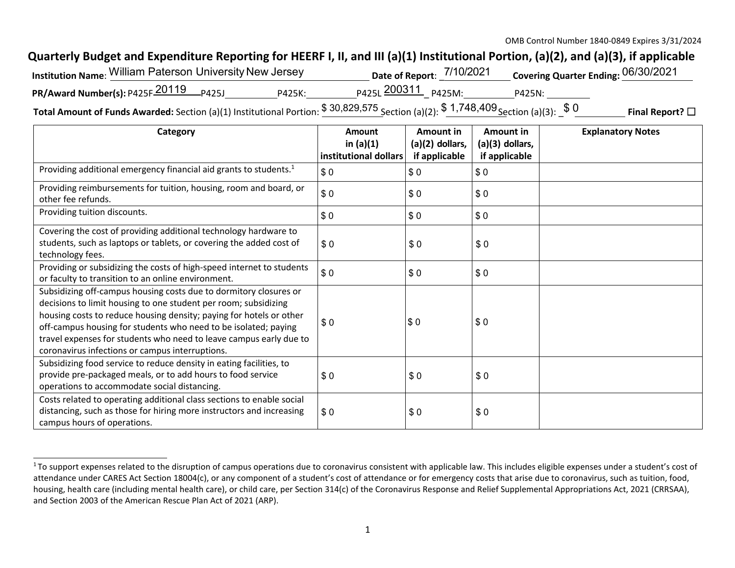## **Quarterly Budget and Expenditure Reporting for HEERF I, II, and III (a)(1) Institutional Portion, (a)(2), and (a)(3), if applicable**

| Institution Name: William Paterson University New Jersey |        |                         | Date of Report: 7/10/2021 |        | Covering Quarter Ending: 06/30/2021 |
|----------------------------------------------------------|--------|-------------------------|---------------------------|--------|-------------------------------------|
| PR/Award Number(s): P425F 20119 P425J                    | P425K: | P425L 200311 P425M:     |                           | P425N: |                                     |
|                                                          |        | $*$ $*$ $*$ $*$ $*$ $*$ | 1.710.100                 |        |                                     |

**Total Amount of Funds Awarded:** Section (a)(1) Institutional Portion:  $\frac{$30,829,575}{$\text{Section (a)(2)}}$ :  $\frac{$1,748,409}{$\text{Section (a)(3)}}$ :  $\frac{$0]{\text{9}}{$\text{1}}$  **Final Report?** □

| Category                                                                                                                                                                                                                                                                                                                                                                                                | Amount<br>in $(a)(1)$<br>institutional dollars | Amount in<br>$(a)(2)$ dollars,<br>if applicable | Amount in<br>(a)(3) dollars,<br>if applicable | <b>Explanatory Notes</b> |
|---------------------------------------------------------------------------------------------------------------------------------------------------------------------------------------------------------------------------------------------------------------------------------------------------------------------------------------------------------------------------------------------------------|------------------------------------------------|-------------------------------------------------|-----------------------------------------------|--------------------------|
| Providing additional emergency financial aid grants to students. <sup>1</sup>                                                                                                                                                                                                                                                                                                                           | \$0                                            | \$0                                             | \$0                                           |                          |
| Providing reimbursements for tuition, housing, room and board, or<br>other fee refunds.                                                                                                                                                                                                                                                                                                                 | \$0                                            | \$0                                             | \$0                                           |                          |
| Providing tuition discounts.                                                                                                                                                                                                                                                                                                                                                                            | \$0                                            | \$0                                             | \$0                                           |                          |
| Covering the cost of providing additional technology hardware to<br>students, such as laptops or tablets, or covering the added cost of<br>technology fees.                                                                                                                                                                                                                                             | \$0                                            | \$0                                             | \$0                                           |                          |
| Providing or subsidizing the costs of high-speed internet to students<br>or faculty to transition to an online environment.                                                                                                                                                                                                                                                                             | \$0                                            | \$0                                             | \$0                                           |                          |
| Subsidizing off-campus housing costs due to dormitory closures or<br>decisions to limit housing to one student per room; subsidizing<br>housing costs to reduce housing density; paying for hotels or other<br>off-campus housing for students who need to be isolated; paying<br>travel expenses for students who need to leave campus early due to<br>coronavirus infections or campus interruptions. | \$0                                            | \$0                                             | \$0                                           |                          |
| Subsidizing food service to reduce density in eating facilities, to<br>provide pre-packaged meals, or to add hours to food service<br>operations to accommodate social distancing.                                                                                                                                                                                                                      | \$0                                            | \$0                                             | \$0                                           |                          |
| Costs related to operating additional class sections to enable social<br>distancing, such as those for hiring more instructors and increasing<br>campus hours of operations.                                                                                                                                                                                                                            | \$0                                            | \$0                                             | \$0                                           |                          |

<sup>&</sup>lt;sup>1</sup> To support expenses related to the disruption of campus operations due to coronavirus consistent with applicable law. This includes eligible expenses under a student's cost of attendance under CARES Act Section 18004(c), or any component of a student's cost of attendance or for emergency costs that arise due to coronavirus, such as tuition, food, housing, health care (including mental health care), or child care, per Section 314(c) of the Coronavirus Response and Relief Supplemental Appropriations Act, 2021 (CRRSAA), and Section 2003 of the American Rescue Plan Act of 2021 (ARP).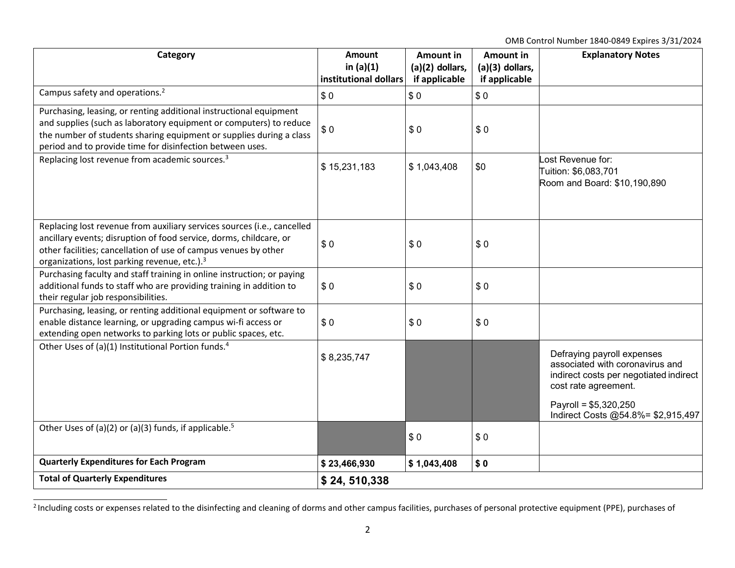OMB Control Number 1840‐0849 Expires 3/31/2024

| Category                                                                                                                                                                                                                                                                     | <b>Amount</b><br>in $(a)(1)$ | Amount in<br>$(a)(2)$ dollars, | <b>Amount in</b><br>$(a)(3)$ dollars, | <b>Explanatory Notes</b>                                                                                                                                  |
|------------------------------------------------------------------------------------------------------------------------------------------------------------------------------------------------------------------------------------------------------------------------------|------------------------------|--------------------------------|---------------------------------------|-----------------------------------------------------------------------------------------------------------------------------------------------------------|
|                                                                                                                                                                                                                                                                              | institutional dollars        | if applicable                  | if applicable                         |                                                                                                                                                           |
| Campus safety and operations. <sup>2</sup>                                                                                                                                                                                                                                   | \$0                          | \$0                            | \$0                                   |                                                                                                                                                           |
| Purchasing, leasing, or renting additional instructional equipment<br>and supplies (such as laboratory equipment or computers) to reduce<br>the number of students sharing equipment or supplies during a class<br>period and to provide time for disinfection between uses. | \$0                          | \$0                            | \$0                                   |                                                                                                                                                           |
| Replacing lost revenue from academic sources. <sup>3</sup>                                                                                                                                                                                                                   | \$15,231,183                 | \$1,043,408                    | \$0                                   | Lost Revenue for:<br>Tuition: \$6,083,701<br>Room and Board: \$10,190,890                                                                                 |
| Replacing lost revenue from auxiliary services sources (i.e., cancelled<br>ancillary events; disruption of food service, dorms, childcare, or<br>other facilities; cancellation of use of campus venues by other<br>organizations, lost parking revenue, etc.). <sup>3</sup> | \$0                          | \$0                            | \$0                                   |                                                                                                                                                           |
| Purchasing faculty and staff training in online instruction; or paying<br>additional funds to staff who are providing training in addition to<br>their regular job responsibilities.                                                                                         | \$0                          | \$0                            | \$0                                   |                                                                                                                                                           |
| Purchasing, leasing, or renting additional equipment or software to<br>enable distance learning, or upgrading campus wi-fi access or<br>extending open networks to parking lots or public spaces, etc.                                                                       | \$0                          | \$0                            | \$0                                   |                                                                                                                                                           |
| Other Uses of (a)(1) Institutional Portion funds. <sup>4</sup>                                                                                                                                                                                                               | \$8,235,747                  |                                |                                       | Defraying payroll expenses<br>associated with coronavirus and<br>indirect costs per negotiated indirect<br>cost rate agreement.<br>Payroll = $$5,320,250$ |
|                                                                                                                                                                                                                                                                              |                              |                                |                                       | Indirect Costs @54.8%= \$2,915,497                                                                                                                        |
| Other Uses of (a)(2) or (a)(3) funds, if applicable. <sup>5</sup>                                                                                                                                                                                                            |                              | \$0                            | \$0                                   |                                                                                                                                                           |
| <b>Quarterly Expenditures for Each Program</b>                                                                                                                                                                                                                               | \$23,466,930                 | \$1,043,408                    | \$0                                   |                                                                                                                                                           |
| <b>Total of Quarterly Expenditures</b>                                                                                                                                                                                                                                       | \$24,510,338                 |                                |                                       |                                                                                                                                                           |

<sup>&</sup>lt;sup>2</sup> Including costs or expenses related to the disinfecting and cleaning of dorms and other campus facilities, purchases of personal protective equipment (PPE), purchases of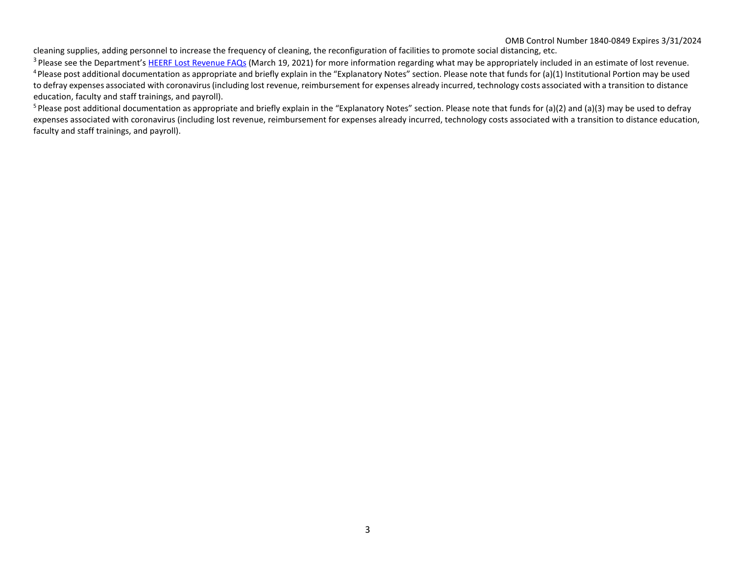## OMB Control Number 1840‐0849 Expires 3/31/2024

cleaning supplies, adding personnel to increase the frequency of cleaning, the reconfiguration of facilities to promote social distancing, etc.

 $3$  Please see the Department's HEERF Lost Revenue FAQs (March 19, 2021) for more information regarding what may be appropriately included in an estimate of lost revenue.  $4$ Please post additional documentation as appropriate and briefly explain in the "Explanatory Notes" section. Please note that funds for (a)(1) Institutional Portion may be used to defray expenses associated with coronavirus(including lost revenue, reimbursement for expenses already incurred, technology costs associated with a transition to distance education, faculty and staff trainings, and payroll).

<sup>5</sup> Please post additional documentation as appropriate and briefly explain in the "Explanatory Notes" section. Please note that funds for (a)(2) and (a)(3) may be used to defray expenses associated with coronavirus (including lost revenue, reimbursement for expenses already incurred, technology costs associated with a transition to distance education, faculty and staff trainings, and payroll).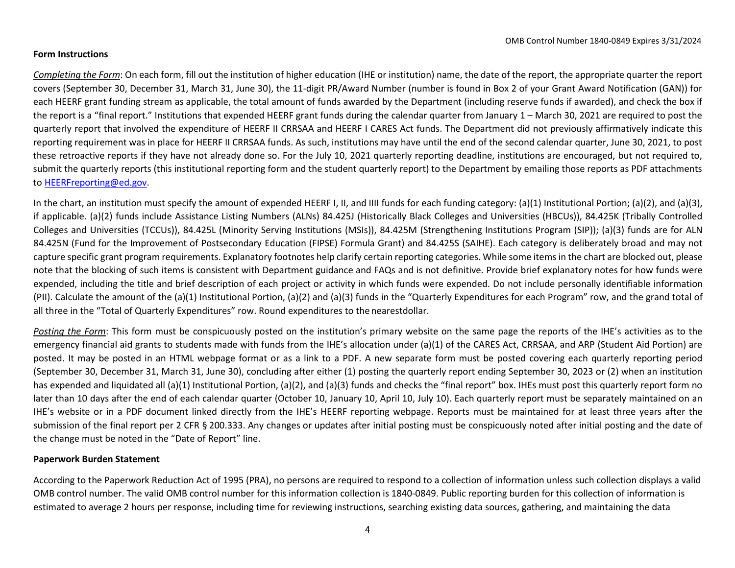## **Form Instructions**

*Completing the Form*: On each form, fill out the institution of higher education (IHE or institution) name, the date of the report, the appropriate quarter the report covers (September 30, December 31, March 31, June 30), the 11‐digit PR/Award Number (number is found in Box 2 of your Grant Award Notification (GAN)) for each HEERF grant funding stream as applicable, the total amount of funds awarded by the Department (including reserve funds if awarded), and check the box if the report is a "final report." Institutions that expended HEERF grant funds during the calendar quarter from January 1 – March 30, 2021 are required to post the quarterly report that involved the expenditure of HEERF II CRRSAA and HEERF I CARES Act funds. The Department did not previously affirmatively indicate this reporting requirement was in place for HEERF II CRRSAA funds. As such, institutions may have until the end of the second calendar quarter, June 30, 2021, to post these retroactive reports if they have not already done so. For the July 10, 2021 quarterly reporting deadline, institutions are encouraged, but not required to, submit the quarterly reports (this institutional reporting form and the student quarterly report) to the Department by emailing those reports as PDF attachments to [HEERFreporting@ed.gov.](mailto:HEERFreporting@ed.gov)

In the chart, an institution must specify the amount of expended HEERF I, II, and IIII funds for each funding category: (a)(1) Institutional Portion; (a)(2), and (a)(3), if applicable. (a)(2) funds include Assistance Listing Numbers (ALNs) 84.425J (Historically Black Colleges and Universities (HBCUs)), 84.425K (Tribally Controlled Colleges and Universities (TCCUs)), 84.425L (Minority Serving Institutions (MSIs)), 84.425M (Strengthening Institutions Program (SIP)); (a)(3) funds are for ALN 84.425N (Fund for the Improvement of Postsecondary Education (FIPSE) Formula Grant) and 84.425S (SAIHE). Each category is deliberately broad and may not capture specific grant program requirements. Explanatory footnotes help clarify certain reporting categories. While some items in the chart are blocked out, please note that the blocking of such items is consistent with Department guidance and FAQs and is not definitive. Provide brief explanatory notes for how funds were expended, including the title and brief description of each project or activity in which funds were expended. Do not include personally identifiable information (PII). Calculate the amount of the (a)(1) Institutional Portion, (a)(2) and (a)(3) funds in the "Quarterly Expenditures for each Program" row, and the grand total of all three in the "Total of Quarterly Expenditures" row. Round expenditures to the nearestdollar.

*Posting the Form*: This form must be conspicuously posted on the institution's primary website on the same page the reports of the IHE's activities as to the emergency financial aid grants to students made with funds from the IHE's allocation under (a)(1) of the CARES Act, CRRSAA, and ARP (Student Aid Portion) are posted. It may be posted in an HTML webpage format or as a link to a PDF. A new separate form must be posted covering each quarterly reporting period (September 30, December 31, March 31, June 30), concluding after either (1) posting the quarterly report ending September 30, 2023 or (2) when an institution has expended and liquidated all (a)(1) Institutional Portion, (a)(2), and (a)(3) funds and checks the "final report" box. IHEs must post this quarterly report form no later than 10 days after the end of each calendar quarter (October 10, January 10, April 10, July 10). Each quarterly report must be separately maintained on an IHE's website or in a PDF document linked directly from the IHE's HEERF reporting webpage. Reports must be maintained for at least three years after the submission of the final report per 2 CFR § 200.333. Any changes or updates after initial posting must be conspicuously noted after initial posting and the date of the change must be noted in the "Date of Report" line.

## **Paperwork Burden Statement**

According to the Paperwork Reduction Act of 1995 (PRA), no persons are required to respond to a collection of information unless such collection displays a valid OMB control number. The valid OMB control number for this information collection is 1840‐0849. Public reporting burden for this collection of information is estimated to average 2 hours per response, including time for reviewing instructions, searching existing data sources, gathering, and maintaining the data